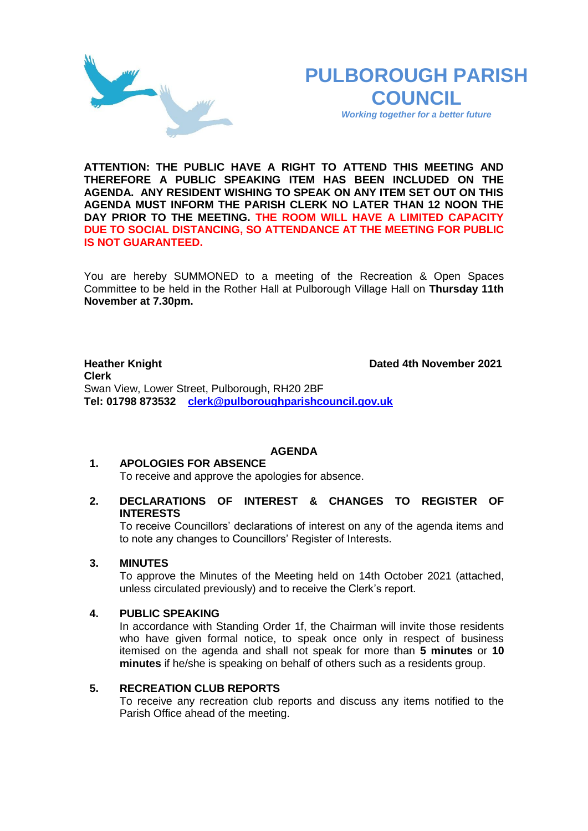

# **PULBOROUGH PARISH COUNCIL**

*Working together for a better future*

**ATTENTION: THE PUBLIC HAVE A RIGHT TO ATTEND THIS MEETING AND THEREFORE A PUBLIC SPEAKING ITEM HAS BEEN INCLUDED ON THE AGENDA. ANY RESIDENT WISHING TO SPEAK ON ANY ITEM SET OUT ON THIS AGENDA MUST INFORM THE PARISH CLERK NO LATER THAN 12 NOON THE DAY PRIOR TO THE MEETING. THE ROOM WILL HAVE A LIMITED CAPACITY DUE TO SOCIAL DISTANCING, SO ATTENDANCE AT THE MEETING FOR PUBLIC IS NOT GUARANTEED.**

You are hereby SUMMONED to a meeting of the Recreation & Open Spaces Committee to be held in the Rother Hall at Pulborough Village Hall on **Thursday 11th November at 7.30pm.** 

**Heather Knight Dated 4th November 2021 Clerk**  Swan View, Lower Street, Pulborough, RH20 2BF **Tel: 01798 873532 [clerk@pulboroughparishcouncil.gov.uk](mailto:clerk@pulboroughparishcouncil.gov.uk)**

### **AGENDA**

# **1. APOLOGIES FOR ABSENCE**

### To receive and approve the apologies for absence.

**2. DECLARATIONS OF INTEREST & CHANGES TO REGISTER OF INTERESTS**

To receive Councillors' declarations of interest on any of the agenda items and to note any changes to Councillors' Register of Interests.

### **3. MINUTES**

To approve the Minutes of the Meeting held on 14th October 2021 (attached, unless circulated previously) and to receive the Clerk's report.

### **4. PUBLIC SPEAKING**

In accordance with Standing Order 1f, the Chairman will invite those residents who have given formal notice, to speak once only in respect of business itemised on the agenda and shall not speak for more than **5 minutes** or **10 minutes** if he/she is speaking on behalf of others such as a residents group.

## **5. RECREATION CLUB REPORTS**

To receive any recreation club reports and discuss any items notified to the Parish Office ahead of the meeting.